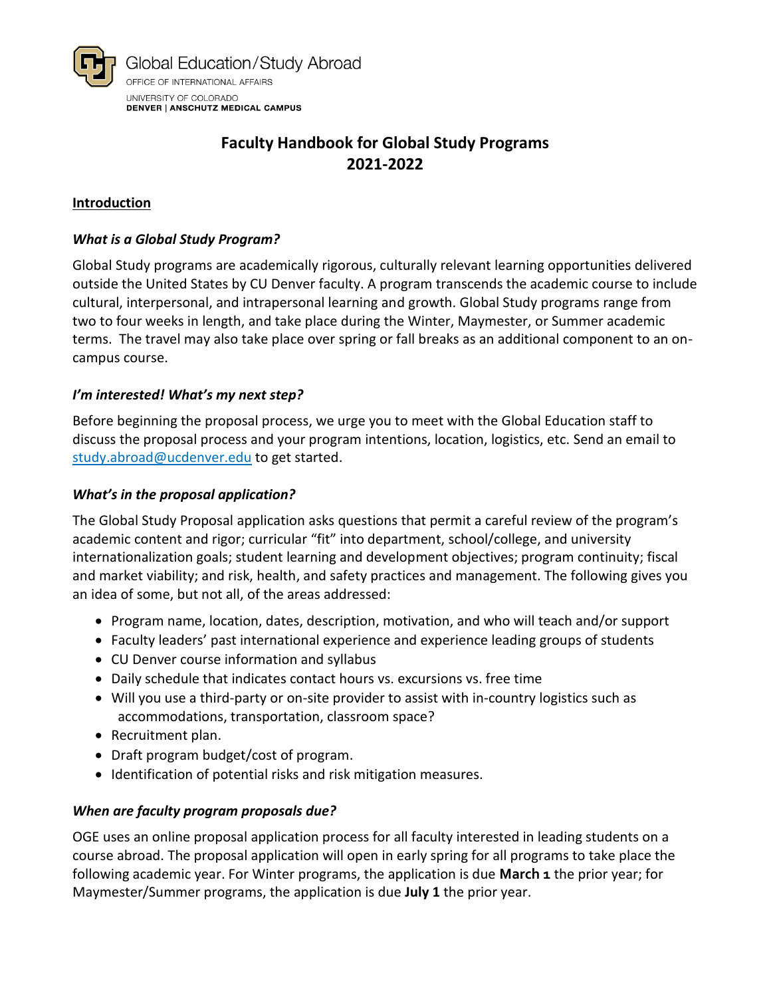

#### **Introduction**

#### *What is a Global Study Program?*

Global Study programs are academically rigorous, culturally relevant learning opportunities delivered outside the United States by CU Denver faculty. A program transcends the academic course to include cultural, interpersonal, and intrapersonal learning and growth. Global Study programs range from two to four weeks in length, and take place during the Winter, Maymester, or Summer academic terms. The travel may also take place over spring or fall breaks as an additional component to an oncampus course.

#### *I'm interested! What's my next step?*

Before beginning the proposal process, we urge you to meet with the Global Education staff to discuss the proposal process and your program intentions, location, logistics, etc. Send an email to [study.abroad@ucdenver.edu](mailto:study.abroad@ucdenver.edu) to get started.

#### *What's in the proposal application?*

The Global Study Proposal application asks questions that permit a careful review of the program's academic content and rigor; curricular "fit" into department, school/college, and university internationalization goals; student learning and development objectives; program continuity; fiscal and market viability; and risk, health, and safety practices and management. The following gives you an idea of some, but not all, of the areas addressed:

- Program name, location, dates, description, motivation, and who will teach and/or support
- Faculty leaders' past international experience and experience leading groups of students
- CU Denver course information and syllabus
- Daily schedule that indicates contact hours vs. excursions vs. free time
- Will you use a third-party or on-site provider to assist with in-country logistics such as accommodations, transportation, classroom space?
- Recruitment plan.
- Draft program budget/cost of program.
- Identification of potential risks and risk mitigation measures.

#### *When are faculty program proposals due?*

OGE uses an online proposal application process for all faculty interested in leading students on a course abroad. The proposal application will open in early spring for all programs to take place the following academic year. For Winter programs, the application is due **March 1** the prior year; for Maymester/Summer programs, the application is due **July 1** the prior year.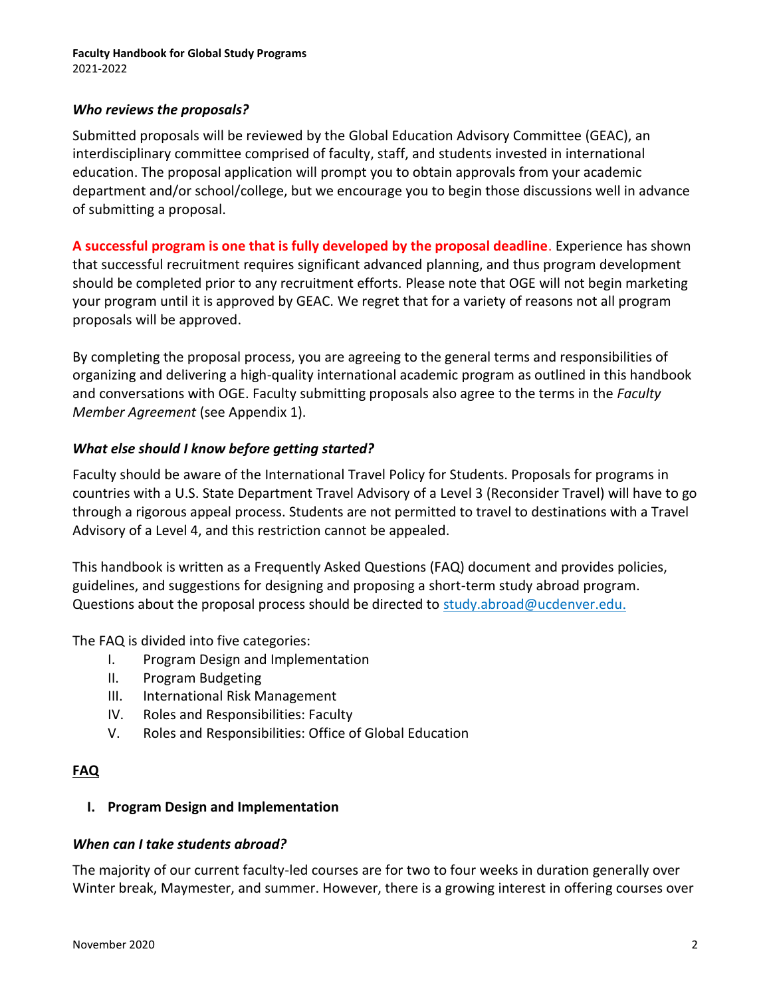#### *Who reviews the proposals?*

Submitted proposals will be reviewed by the [Global Education Advisory Committee \(GEAC\),](http://www.ucdenver.edu/academics/internationalprograms/oia/globaleducation/faculty/geac/Pages/default.aspx) an interdisciplinary committee comprised of faculty, staff, and students invested in international education. The proposal application will prompt you to obtain approvals from your academic department and/or school/college, but we encourage you to begin those discussions well in advance of submitting a proposal.

**A successful program is one that is fully developed by the proposal deadline**. Experience has shown that successful recruitment requires significant advanced planning, and thus program development should be completed prior to any recruitment efforts. Please note that OGE will not begin marketing your program until it is approved by GEAC. We regret that for a variety of reasons not all program proposals will be approved.

By completing the proposal process, you are agreeing to the general terms and responsibilities of organizing and delivering a high-quality international academic program as outlined in this handbook and conversations with OGE. Faculty submitting proposals also agree to the terms in the *Faculty Member Agreement* (see Appendix 1).

#### *What else should I know before getting started?*

Faculty should be aware of the [International Travel Policy](http://www.ucdenver.edu/academics/internationalprograms/oia/globaleducation/about/policies/Documents/International%20Travel%20Policy%20for%20Students.pdf) for Students. Proposals for programs in countries with a [U.S. State Department Travel Advisory](https://travel.state.gov/content/travel/en/traveladvisories/traveladvisories.html) of a Level 3 (Reconsider Travel) will have to go through a rigorous [appeal process.](http://www.ucdenver.edu/academics/internationalprograms/oia/globaleducation/safety/alerts/Pages/default.aspx) Students are not permitted to travel to destinations with a Travel Advisory of a Level 4, and this restriction cannot be appealed.

This handbook is written as a Frequently Asked Questions (FAQ) document and provides policies, guidelines, and suggestions for designing and proposing a short-term study abroad program. Questions about the proposal process should be directed to [study.abroad@ucdenver.edu](mailto:study.abroad@ucdenver.edu).

The FAQ is divided into five categories:

- I. Program Design and Implementation
- II. Program Budgeting
- III. International Risk Management
- IV. Roles and Responsibilities: Faculty
- V. Roles and Responsibilities: Office of Global Education

### **FAQ**

### **I. Program Design and Implementation**

#### *When can I take students abroad?*

The majority of our current faculty-led courses are for two to four weeks in duration generally over Winter break, Maymester, and summer. However, there is a growing interest in offering courses over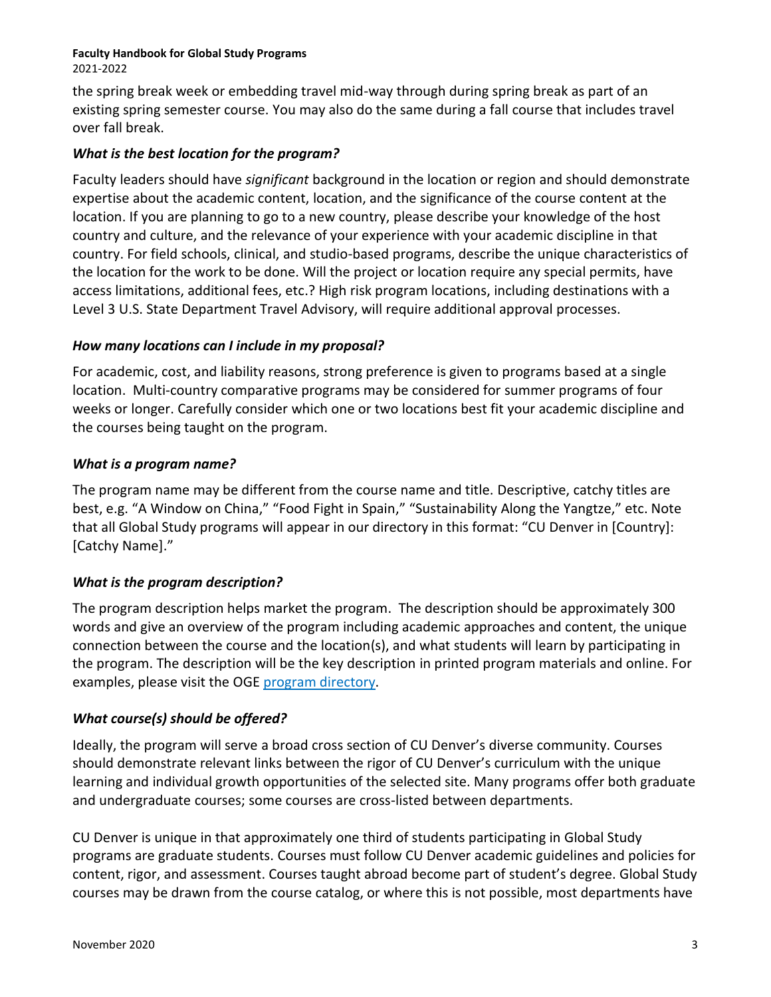2021-2022

the spring break week or embedding travel mid-way through during spring break as part of an existing spring semester course. You may also do the same during a fall course that includes travel over fall break.

## *What is the best location for the program?*

Faculty leaders should have *significant* background in the location or region and should demonstrate expertise about the academic content, location, and the significance of the course content at the location. If you are planning to go to a new country, please describe your knowledge of the host country and culture, and the relevance of your experience with your academic discipline in that country. For field schools, clinical, and studio-based programs, describe the unique characteristics of the location for the work to be done. Will the project or location require any special permits, have access limitations, additional fees, etc.? High risk program locations, including destinations with a Level 3 U.S. State Department Travel Advisory, will require additional approval processes.

## *How many locations can I include in my proposal?*

For academic, cost, and liability reasons, strong preference is given to programs based at a single location. Multi-country comparative programs may be considered for summer programs of four weeks or longer. Carefully consider which one or two locations best fit your academic discipline and the courses being taught on the program.

## *What is a program name?*

The program name may be different from the course name and title. Descriptive, catchy titles are best, e.g. "A Window on China," "Food Fight in Spain," "Sustainability Along the Yangtze," etc. Note that all Global Study programs will appear in our directory in this format: "CU Denver in [Country]: [Catchy Name]."

## *What is the program description?*

The program description helps market the program. The description should be approximately 300 words and give an overview of the program including academic approaches and content, the unique connection between the course and the location(s), and what students will learn by participating in the program. The description will be the key description in printed program materials and online. For examples, please visit the OGE [program directory.](https://studyabroad.ucdenver.edu/index.cfm?FuseAction=Programs.SearchResults&Program_Name=&Program_Type_ID=1&pi=%7F&pc=%7F&pr=%7F&pt=%7F&Partner_ID=ANY&p_10066=CU+Denver+Faculty-Led+Global+Study%7F&p_10066_t=SELCT&p_10071=%7F&p_10071_t=MULTI&p_10072=%7F&p_10072_t=MULTI&p_11077=%7F&p_11077_t=MULTI&Sort=Program_Name&Order=asc&btnSubmit=&pp=10066,10071,10072,11077)

## *What course(s) should be offered?*

Ideally, the program will serve a broad cross section of CU Denver's diverse community. Courses should demonstrate relevant links between the rigor of CU Denver's curriculum with the unique learning and individual growth opportunities of the selected site. Many programs offer both graduate and undergraduate courses; some courses are cross-listed between departments.

CU Denver is unique in that approximately one third of students participating in Global Study programs are graduate students. Courses must follow CU Denver academic guidelines and policies for content, rigor, and assessment. Courses taught abroad become part of student's degree. Global Study courses may be drawn from the course catalog, or where this is not possible, most departments have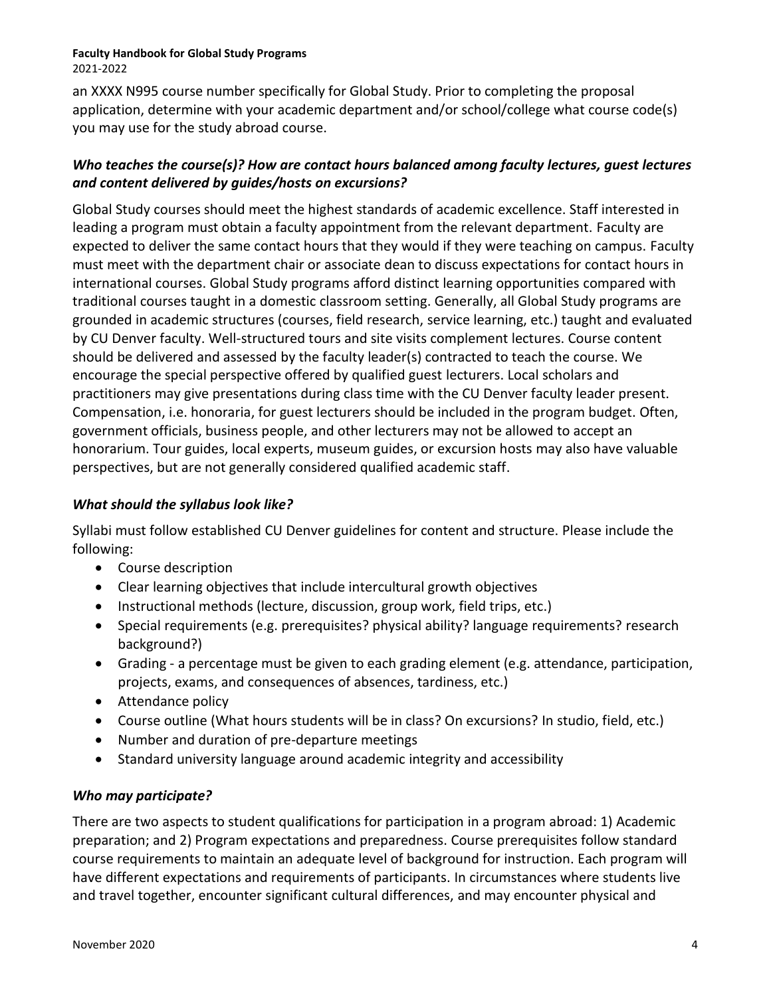an XXXX N995 course number specifically for Global Study. Prior to completing the proposal application, determine with your academic department and/or school/college what course code(s) you may use for the study abroad course.

### *Who teaches the course(s)? How are contact hours balanced among faculty lectures, guest lectures and content delivered by guides/hosts on excursions?*

Global Study courses should meet the highest standards of academic excellence. Staff interested in leading a program must obtain a faculty appointment from the relevant department. Faculty are expected to deliver the same contact hours that they would if they were teaching on campus. Faculty must meet with the department chair or associate dean to discuss expectations for contact hours in international courses. Global Study programs afford distinct learning opportunities compared with traditional courses taught in a domestic classroom setting. Generally, all Global Study programs are grounded in academic structures (courses, field research, service learning, etc.) taught and evaluated by CU Denver faculty. Well-structured tours and site visits complement lectures. Course content should be delivered and assessed by the faculty leader(s) contracted to teach the course. We encourage the special perspective offered by qualified guest lecturers. Local scholars and practitioners may give presentations during class time with the CU Denver faculty leader present. Compensation, i.e. honoraria, for guest lecturers should be included in the program budget. Often, government officials, business people, and other lecturers may not be allowed to accept an honorarium. Tour guides, local experts, museum guides, or excursion hosts may also have valuable perspectives, but are not generally considered qualified academic staff.

### *What should the syllabus look like?*

Syllabi must follow established CU Denver guidelines for content and structure. Please include the following:

- Course description
- Clear learning objectives that include intercultural growth objectives
- Instructional methods (lecture, discussion, group work, field trips, etc.)
- Special requirements (e.g. prerequisites? physical ability? language requirements? research background?)
- Grading a percentage must be given to each grading element (e.g. attendance, participation, projects, exams, and consequences of absences, tardiness, etc.)
- Attendance policy
- Course outline (What hours students will be in class? On excursions? In studio, field, etc.)
- Number and duration of pre-departure meetings
- Standard university language around academic integrity and accessibility

### *Who may participate?*

There are two aspects to student qualifications for participation in a program abroad: 1) Academic preparation; and 2) Program expectations and preparedness. Course prerequisites follow standard course requirements to maintain an adequate level of background for instruction. Each program will have different expectations and requirements of participants. In circumstances where students live and travel together, encounter significant cultural differences, and may encounter physical and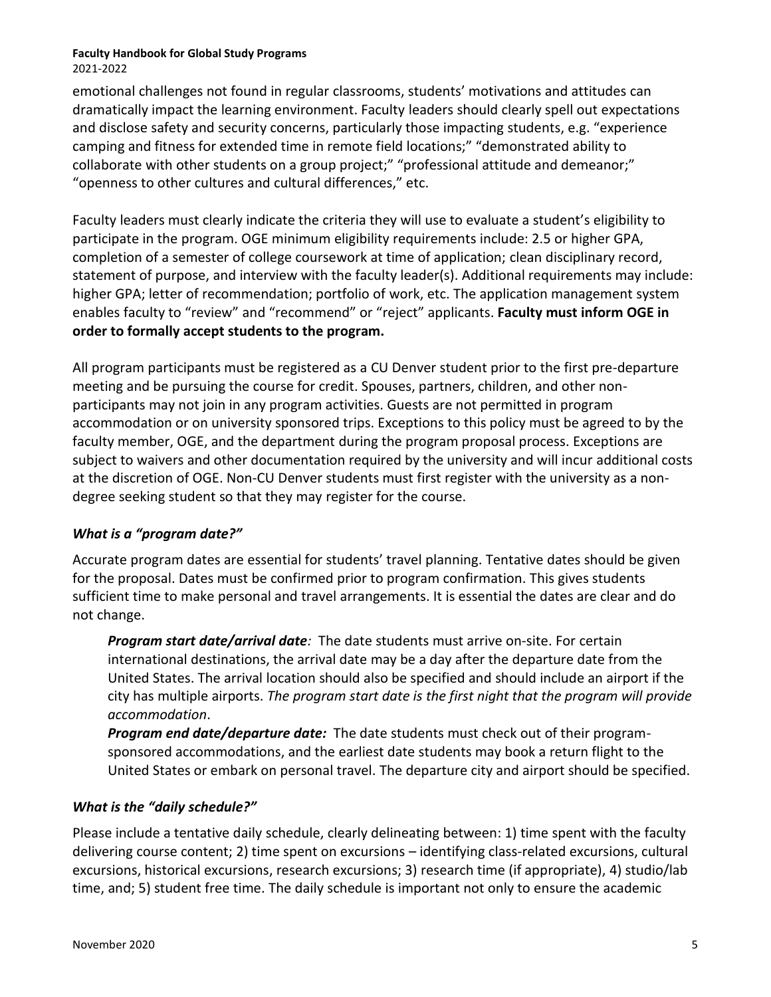emotional challenges not found in regular classrooms, students' motivations and attitudes can dramatically impact the learning environment. Faculty leaders should clearly spell out expectations and disclose safety and security concerns, particularly those impacting students, e.g. "experience camping and fitness for extended time in remote field locations;" "demonstrated ability to collaborate with other students on a group project;" "professional attitude and demeanor;" "openness to other cultures and cultural differences," etc.

Faculty leaders must clearly indicate the criteria they will use to evaluate a student's eligibility to participate in the program. OGE minimum eligibility requirements include: 2.5 or higher GPA, completion of a semester of college coursework at time of application; clean disciplinary record, statement of purpose, and interview with the faculty leader(s). Additional requirements may include: higher GPA; letter of recommendation; portfolio of work, etc. The application management system enables faculty to "review" and "recommend" or "reject" applicants. **Faculty must inform OGE in order to formally accept students to the program.**

All program participants must be registered as a CU Denver student prior to the first pre-departure meeting and be pursuing the course for credit. Spouses, partners, children, and other nonparticipants may not join in any program activities. Guests are not permitted in program accommodation or on university sponsored trips. Exceptions to this policy must be agreed to by the faculty member, OGE, and the department during the program proposal process. Exceptions are subject to waivers and other documentation required by the university and will incur additional costs at the discretion of OGE. Non-CU Denver students must first register with the university as a nondegree seeking student so that they may register for the course.

## *What is a "program date?"*

Accurate program dates are essential for students' travel planning. Tentative dates should be given for the proposal. Dates must be confirmed prior to program confirmation. This gives students sufficient time to make personal and travel arrangements. It is essential the dates are clear and do not change.

*Program start date/arrival date:* The date students must arrive on-site. For certain international destinations, the arrival date may be a day after the departure date from the United States. The arrival location should also be specified and should include an airport if the city has multiple airports. *The program start date is the first night that the program will provide accommodation*.

*Program end date/departure date:*The date students must check out of their programsponsored accommodations, and the earliest date students may book a return flight to the United States or embark on personal travel. The departure city and airport should be specified.

### *What is the "daily schedule?"*

Please include a tentative daily schedule, clearly delineating between: 1) time spent with the faculty delivering course content; 2) time spent on excursions – identifying class-related excursions, cultural excursions, historical excursions, research excursions; 3) research time (if appropriate), 4) studio/lab time, and; 5) student free time. The daily schedule is important not only to ensure the academic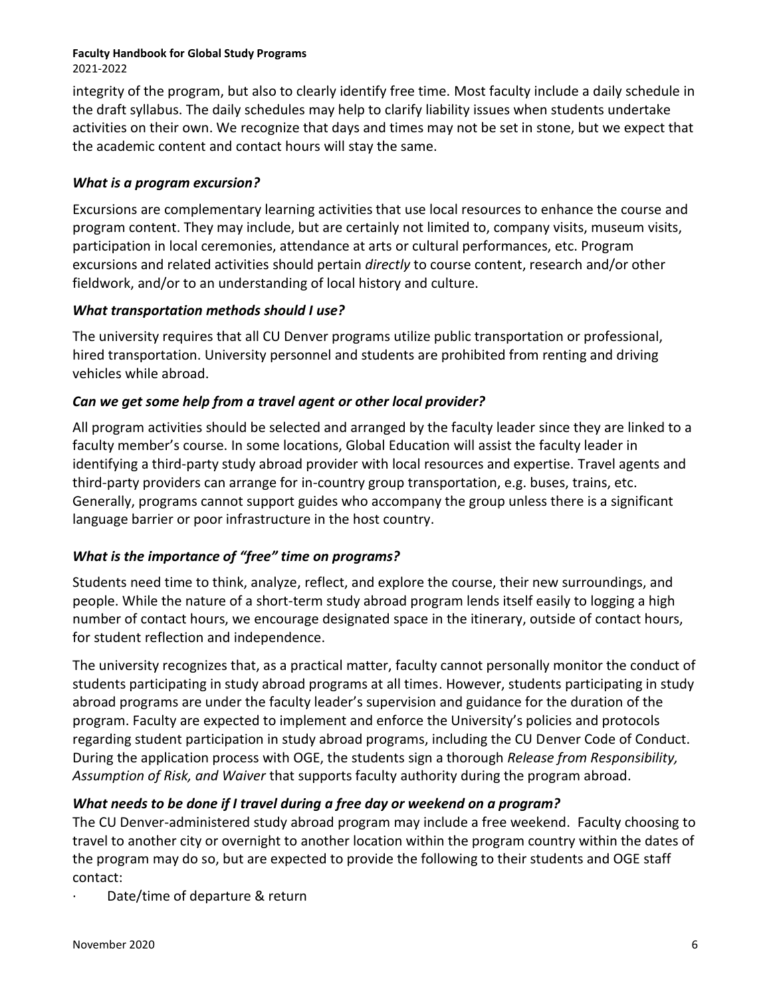integrity of the program, but also to clearly identify free time. Most faculty include a daily schedule in the draft syllabus. The daily schedules may help to clarify liability issues when students undertake activities on their own. We recognize that days and times may not be set in stone, but we expect that the academic content and contact hours will stay the same.

## *What is a program excursion?*

Excursions are complementary learning activities that use local resources to enhance the course and program content. They may include, but are certainly not limited to, company visits, museum visits, participation in local ceremonies, attendance at arts or cultural performances, etc. Program excursions and related activities should pertain *directly* to course content, research and/or other fieldwork, and/or to an understanding of local history and culture.

## *What transportation methods should I use?*

The university requires that all CU Denver programs utilize public transportation or professional, hired transportation. University personnel and students are prohibited from renting and driving vehicles while abroad.

## *Can we get some help from a travel agent or other local provider?*

All program activities should be selected and arranged by the faculty leader since they are linked to a faculty member's course. In some locations, Global Education will assist the faculty leader in identifying a third-party study abroad provider with local resources and expertise. Travel agents and third-party providers can arrange for in-country group transportation, e.g. buses, trains, etc. Generally, programs cannot support guides who accompany the group unless there is a significant language barrier or poor infrastructure in the host country.

## *What is the importance of "free" time on programs?*

Students need time to think, analyze, reflect, and explore the course, their new surroundings, and people. While the nature of a short-term study abroad program lends itself easily to logging a high number of contact hours, we encourage designated space in the itinerary, outside of contact hours, for student reflection and independence.

The university recognizes that, as a practical matter, faculty cannot personally monitor the conduct of students participating in study abroad programs at all times. However, students participating in study abroad programs are under the faculty leader's supervision and guidance for the duration of the program. Faculty are expected to implement and enforce the University's policies and protocols regarding student participation in study abroad programs, including the CU Denver Code of Conduct. During the application process with OGE, the students sign a thorough *Release from Responsibility, Assumption of Risk, and Waiver* that supports faculty authority during the program abroad.

## *What needs to be done if I travel during a free day or weekend on a program?*

The CU Denver-administered study abroad program may include a free weekend. Faculty choosing to travel to another city or overnight to another location within the program country within the dates of the program may do so, but are expected to provide the following to their students and OGE staff contact:

Date/time of departure & return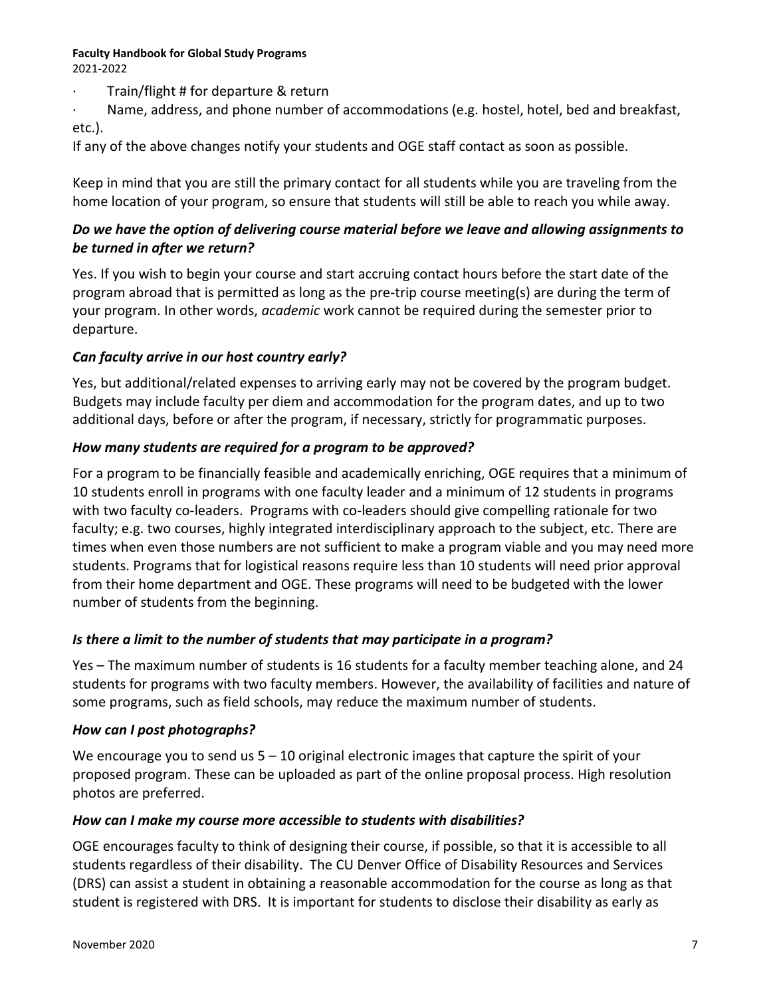· Train/flight # for departure & return

· Name, address, and phone number of accommodations (e.g. hostel, hotel, bed and breakfast, etc.).

If any of the above changes notify your students and OGE staff contact as soon as possible.

Keep in mind that you are still the primary contact for all students while you are traveling from the home location of your program, so ensure that students will still be able to reach you while away.

## *Do we have the option of delivering course material before we leave and allowing assignments to be turned in after we return?*

Yes. If you wish to begin your course and start accruing contact hours before the start date of the program abroad that is permitted as long as the pre-trip course meeting(s) are during the term of your program. In other words, *academic* work cannot be required during the semester prior to departure.

## *Can faculty arrive in our host country early?*

Yes, but additional/related expenses to arriving early may not be covered by the program budget. Budgets may include faculty per diem and accommodation for the program dates, and up to two additional days, before or after the program, if necessary, strictly for programmatic purposes.

### *How many students are required for a program to be approved?*

For a program to be financially feasible and academically enriching, OGE requires that a minimum of 10 students enroll in programs with one faculty leader and a minimum of 12 students in programs with two faculty co-leaders. Programs with co-leaders should give compelling rationale for two faculty; e.g. two courses, highly integrated interdisciplinary approach to the subject, etc. There are times when even those numbers are not sufficient to make a program viable and you may need more students. Programs that for logistical reasons require less than 10 students will need prior approval from their home department and OGE. These programs will need to be budgeted with the lower number of students from the beginning.

### *Is there a limit to the number of students that may participate in a program?*

Yes – The maximum number of students is 16 students for a faculty member teaching alone, and 24 students for programs with two faculty members. However, the availability of facilities and nature of some programs, such as field schools, may reduce the maximum number of students.

### *How can I post photographs?*

We encourage you to send us  $5 - 10$  original electronic images that capture the spirit of your proposed program. These can be uploaded as part of the online proposal process. High resolution photos are preferred.

### *How can I make my course more accessible to students with disabilities?*

OGE encourages faculty to think of designing their course, if possible, so that it is accessible to all students regardless of their disability. The CU Denver Office of Disability Resources and Services (DRS) can assist a student in obtaining a reasonable accommodation for the course as long as that student is registered with DRS. It is important for students to disclose their disability as early as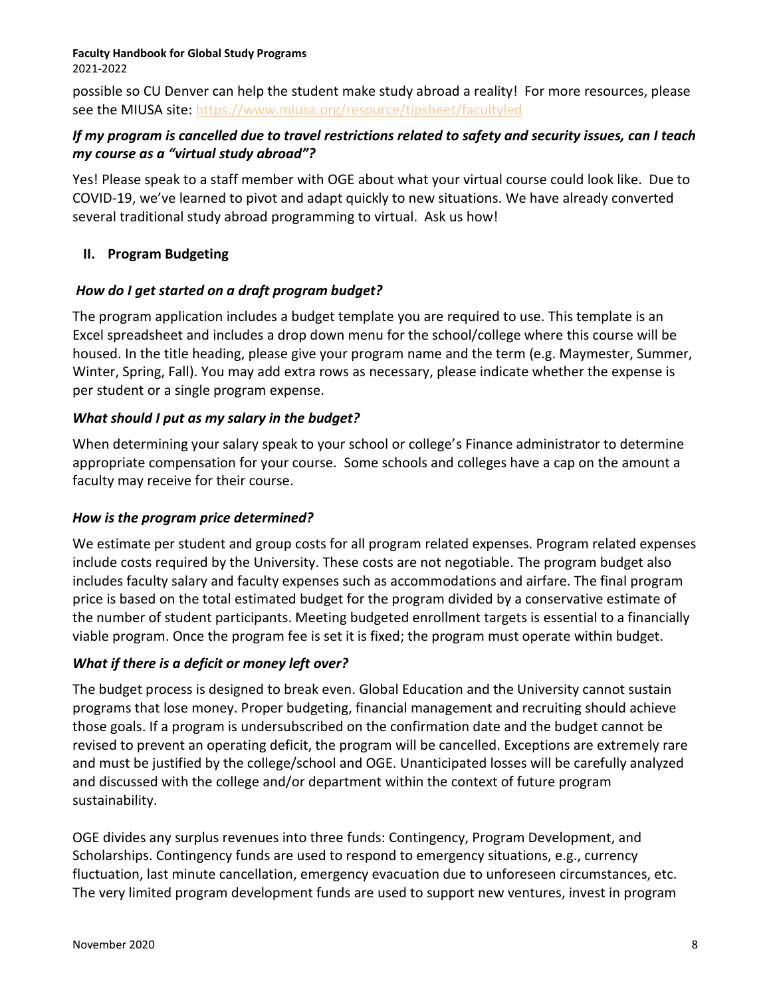possible so CU Denver can help the student make study abroad a reality! For more resources, please see the MIUSA site:<https://www.miusa.org/resource/tipsheet/facultyled>

### *If my program is cancelled due to travel restrictions related to safety and security issues, can I teach my course as a "virtual study abroad"?*

Yes! Please speak to a staff member with OGE about what your virtual course could look like. Due to COVID-19, we've learned to pivot and adapt quickly to new situations. We have already converted several traditional study abroad programming to virtual. Ask us how!

## **II. Program Budgeting**

## *How do I get started on a draft program budget?*

The program application includes a budget template you are required to use. This template is an Excel spreadsheet and includes a drop down menu for the school/college where this course will be housed. In the title heading, please give your program name and the term (e.g. Maymester, Summer, Winter, Spring, Fall). You may add extra rows as necessary, please indicate whether the expense is per student or a single program expense.

## *What should I put as my salary in the budget?*

When determining your salary speak to your school or college's Finance administrator to determine appropriate compensation for your course. Some schools and colleges have a cap on the amount a faculty may receive for their course.

### *How is the program price determined?*

We estimate per student and group costs for all program related expenses. Program related expenses include costs required by the University. These costs are not negotiable. The program budget also includes faculty salary and faculty expenses such as accommodations and airfare. The final program price is based on the total estimated budget for the program divided by a conservative estimate of the number of student participants. Meeting budgeted enrollment targets is essential to a financially viable program. Once the program fee is set it is fixed; the program must operate within budget.

## *What if there is a deficit or money left over?*

The budget process is designed to break even. Global Education and the University cannot sustain programs that lose money. Proper budgeting, financial management and recruiting should achieve those goals. If a program is undersubscribed on the confirmation date and the budget cannot be revised to prevent an operating deficit, the program will be cancelled. Exceptions are extremely rare and must be justified by the college/school and OGE. Unanticipated losses will be carefully analyzed and discussed with the college and/or department within the context of future program sustainability.

OGE divides any surplus revenues into three funds: Contingency, Program Development, and Scholarships. Contingency funds are used to respond to emergency situations, e.g., currency fluctuation, last minute cancellation, emergency evacuation due to unforeseen circumstances, etc. The very limited program development funds are used to support new ventures, invest in program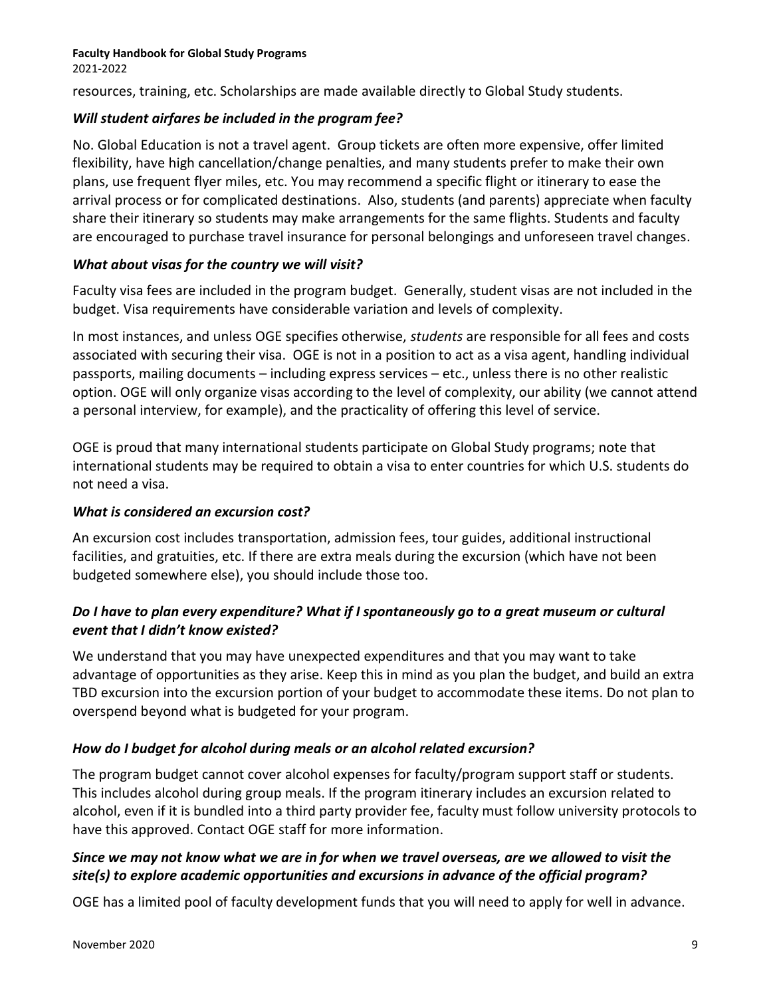resources, training, etc. Scholarships are made available directly to Global Study students.

#### *Will student airfares be included in the program fee?*

No. Global Education is not a travel agent. Group tickets are often more expensive, offer limited flexibility, have high cancellation/change penalties, and many students prefer to make their own plans, use frequent flyer miles, etc. You may recommend a specific flight or itinerary to ease the arrival process or for complicated destinations. Also, students (and parents) appreciate when faculty share their itinerary so students may make arrangements for the same flights. Students and faculty are encouraged to purchase travel insurance for personal belongings and unforeseen travel changes.

#### *What about visas for the country we will visit?*

Faculty visa fees are included in the program budget. Generally, student visas are not included in the budget. Visa requirements have considerable variation and levels of complexity.

In most instances, and unless OGE specifies otherwise, *students* are responsible for all fees and costs associated with securing their visa. OGE is not in a position to act as a visa agent, handling individual passports, mailing documents – including express services – etc., unless there is no other realistic option. OGE will only organize visas according to the level of complexity, our ability (we cannot attend a personal interview, for example), and the practicality of offering this level of service.

OGE is proud that many international students participate on Global Study programs; note that international students may be required to obtain a visa to enter countries for which U.S. students do not need a visa.

### *What is considered an excursion cost?*

An excursion cost includes transportation, admission fees, tour guides, additional instructional facilities, and gratuities, etc. If there are extra meals during the excursion (which have not been budgeted somewhere else), you should include those too.

## *Do I have to plan every expenditure? What if I spontaneously go to a great museum or cultural event that I didn't know existed?*

We understand that you may have unexpected expenditures and that you may want to take advantage of opportunities as they arise. Keep this in mind as you plan the budget, and build an extra TBD excursion into the excursion portion of your budget to accommodate these items. Do not plan to overspend beyond what is budgeted for your program.

### *How do I budget for alcohol during meals or an alcohol related excursion?*

The program budget cannot cover alcohol expenses for faculty/program support staff or students. This includes alcohol during group meals. If the program itinerary includes an excursion related to alcohol, even if it is bundled into a third party provider fee, faculty must follow university protocols to have this approved. Contact OGE staff for more information.

## *Since we may not know what we are in for when we travel overseas, are we allowed to visit the site(s) to explore academic opportunities and excursions in advance of the official program?*

OGE has a limited pool of faculty development funds that you will need to apply for well in advance.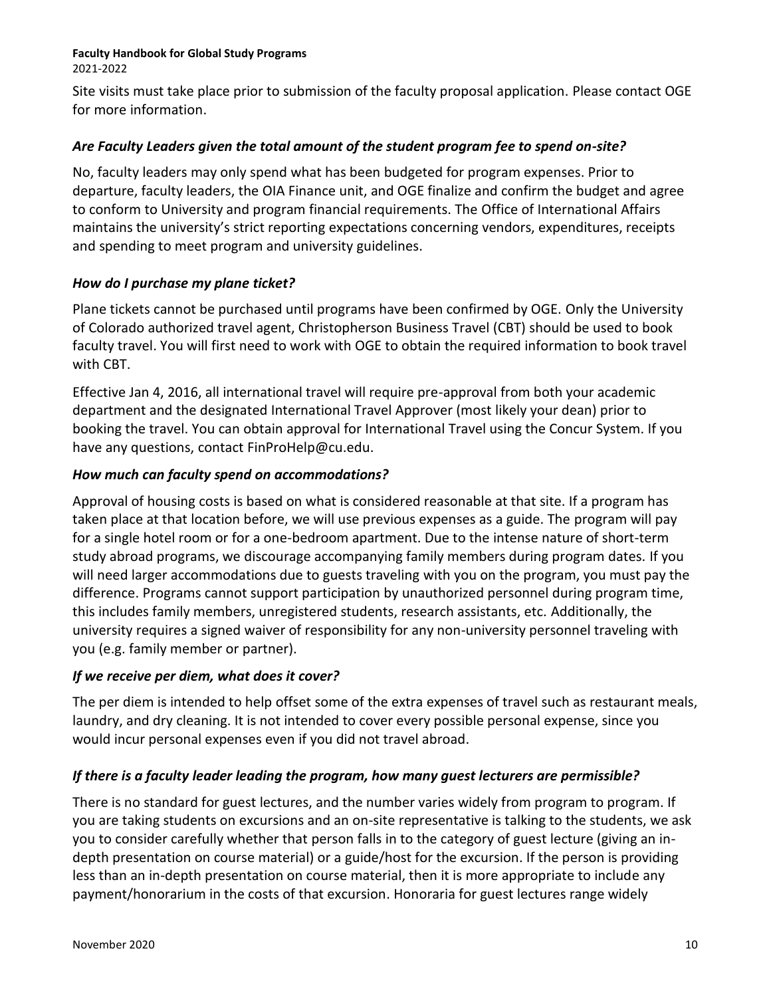2021-2022

Site visits must take place prior to submission of the faculty proposal application. Please contact OGE for more information.

#### *Are Faculty Leaders given the total amount of the student program fee to spend on-site?*

No, faculty leaders may only spend what has been budgeted for program expenses. Prior to departure, faculty leaders, the OIA Finance unit, and OGE finalize and confirm the budget and agree to conform to University and program financial requirements. The Office of International Affairs maintains the university's strict reporting expectations concerning vendors, expenditures, receipts and spending to meet program and university guidelines.

### *How do I purchase my plane ticket?*

Plane tickets cannot be purchased until programs have been confirmed by OGE. Only the University of Colorado authorized travel agent, Christopherson Business Travel (CBT) should be used to book faculty travel. You will first need to work with OGE to obtain the required information to book travel with CBT.

Effective Jan 4, 2016, all international travel will require pre-approval from both your academic department and the designated International Travel Approver (most likely your dean) prior to booking the travel. You can obtain approval for International Travel using the Concur System. If you have any questions, contact [FinProHelp@cu.edu.](mailto:FinProHelp@cu.edu)

#### *How much can faculty spend on accommodations?*

Approval of housing costs is based on what is considered reasonable at that site. If a program has taken place at that location before, we will use previous expenses as a guide. The program will pay for a single hotel room or for a one-bedroom apartment. Due to the intense nature of short-term study abroad programs, we discourage accompanying family members during program dates. If you will need larger accommodations due to guests traveling with you on the program, you must pay the difference. Programs cannot support participation by unauthorized personnel during program time, this includes family members, unregistered students, research assistants, etc. Additionally, the university requires a signed waiver of responsibility for any non-university personnel traveling with you (e.g. family member or partner).

#### *If we receive per diem, what does it cover?*

The per diem is intended to help offset some of the extra expenses of travel such as restaurant meals, laundry, and dry cleaning. It is not intended to cover every possible personal expense, since you would incur personal expenses even if you did not travel abroad.

#### *If there is a faculty leader leading the program, how many guest lecturers are permissible?*

There is no standard for guest lectures, and the number varies widely from program to program. If you are taking students on excursions and an on-site representative is talking to the students, we ask you to consider carefully whether that person falls in to the category of guest lecture (giving an indepth presentation on course material) or a guide/host for the excursion. If the person is providing less than an in-depth presentation on course material, then it is more appropriate to include any payment/honorarium in the costs of that excursion. Honoraria for guest lectures range widely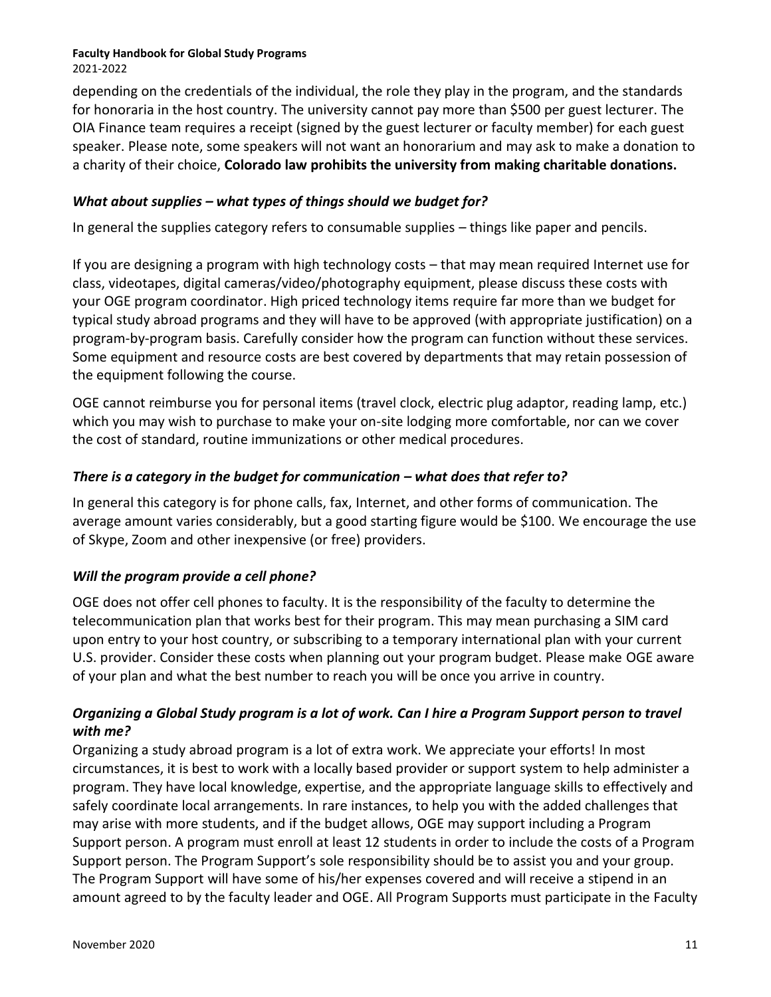depending on the credentials of the individual, the role they play in the program, and the standards for honoraria in the host country. The university cannot pay more than \$500 per guest lecturer. The OIA Finance team requires a receipt (signed by the guest lecturer or faculty member) for each guest speaker. Please note, some speakers will not want an honorarium and may ask to make a donation to a charity of their choice, **Colorado law prohibits the university from making charitable donations.**

## *What about supplies – what types of things should we budget for?*

In general the supplies category refers to consumable supplies – things like paper and pencils.

If you are designing a program with high technology costs – that may mean required Internet use for class, videotapes, digital cameras/video/photography equipment, please discuss these costs with your OGE program coordinator. High priced technology items require far more than we budget for typical study abroad programs and they will have to be approved (with appropriate justification) on a program-by-program basis. Carefully consider how the program can function without these services. Some equipment and resource costs are best covered by departments that may retain possession of the equipment following the course.

OGE cannot reimburse you for personal items (travel clock, electric plug adaptor, reading lamp, etc.) which you may wish to purchase to make your on-site lodging more comfortable, nor can we cover the cost of standard, routine immunizations or other medical procedures.

### *There is a category in the budget for communication – what does that refer to?*

In general this category is for phone calls, fax, Internet, and other forms of communication. The average amount varies considerably, but a good starting figure would be \$100. We encourage the use of Skype, Zoom and other inexpensive (or free) providers.

### *Will the program provide a cell phone?*

OGE does not offer cell phones to faculty. It is the responsibility of the faculty to determine the telecommunication plan that works best for their program. This may mean purchasing a SIM card upon entry to your host country, or subscribing to a temporary international plan with your current U.S. provider. Consider these costs when planning out your program budget. Please make OGE aware of your plan and what the best number to reach you will be once you arrive in country.

### *Organizing a Global Study program is a lot of work. Can I hire a Program Support person to travel with me?*

Organizing a study abroad program is a lot of extra work. We appreciate your efforts! In most circumstances, it is best to work with a locally based provider or support system to help administer a program. They have local knowledge, expertise, and the appropriate language skills to effectively and safely coordinate local arrangements. In rare instances, to help you with the added challenges that may arise with more students, and if the budget allows, OGE may support including a Program Support person. A program must enroll at least 12 students in order to include the costs of a Program Support person. The Program Support's sole responsibility should be to assist you and your group. The Program Support will have some of his/her expenses covered and will receive a stipend in an amount agreed to by the faculty leader and OGE. All Program Supports must participate in the Faculty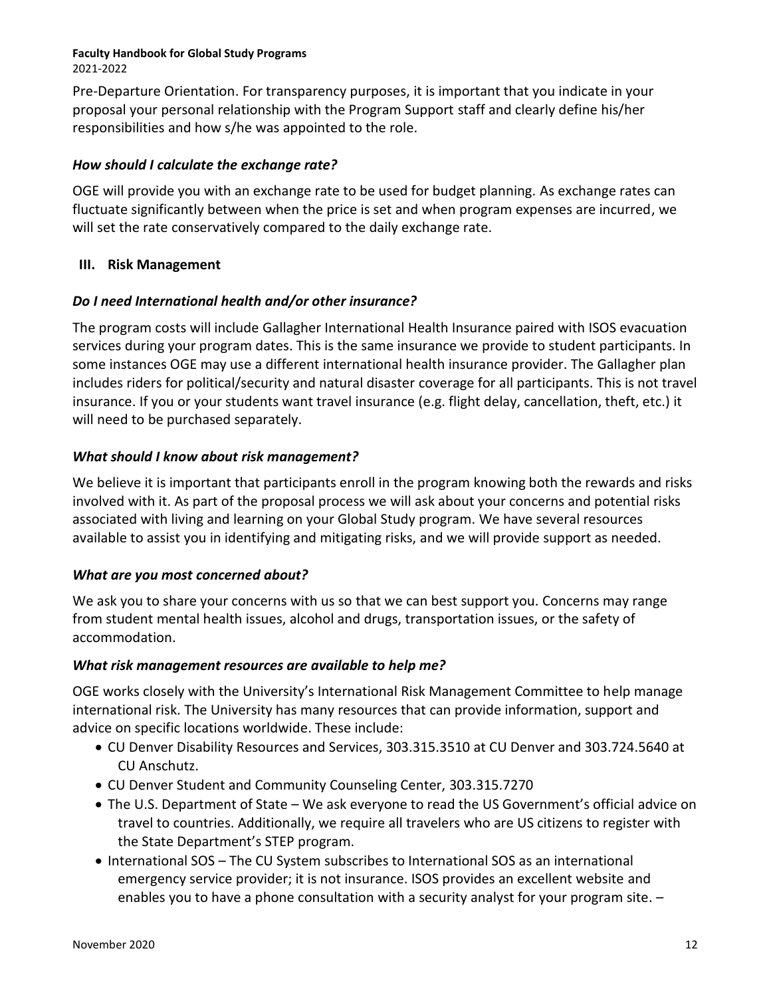Pre-Departure Orientation. For transparency purposes, it is important that you indicate in your proposal your personal relationship with the Program Support staff and clearly define his/her responsibilities and how s/he was appointed to the role.

#### *How should I calculate the exchange rate?*

OGE will provide you with an exchange rate to be used for budget planning. As exchange rates can fluctuate significantly between when the price is set and when program expenses are incurred, we will set the rate conservatively compared to the daily exchange rate.

#### **III. Risk Management**

### *Do I need International health and/or other insurance?*

The program costs will include Gallagher International Health Insurance paired with ISOS evacuation services during your program dates. This is the same insurance we provide to student participants. In some instances OGE may use a different international health insurance provider. The Gallagher plan includes riders for political/security and natural disaster coverage for all participants. This is not travel insurance. If you or your students want travel insurance (e.g. flight delay, cancellation, theft, etc.) it will need to be purchased separately.

### *What should I know about risk management?*

We believe it is important that participants enroll in the program knowing both the rewards and risks involved with it. As part of the proposal process we will ask about your concerns and potential risks associated with living and learning on your Global Study program. We have several resources available to assist you in identifying and mitigating risks, and we will provide support as needed.

### *What are you most concerned about?*

We ask you to share your concerns with us so that we can best support you. Concerns may range from student mental health issues, alcohol and drugs, transportation issues, or the safety of accommodation.

#### *What risk management resources are available to help me?*

OGE works closely with the University's International Risk Management Committee to help manage international risk. The University has many resources that can provide information, support and advice on specific locations worldwide. These include:

- CU Denver Disability Resources and Services, 303.315.3510 at CU Denver and 303.724.5640 at CU Anschutz.
- CU Denver Student and Community Counseling Center, 303.315.7270
- The U.S. Department of State We ask everyone to read the US Government's official advice on travel to countries. Additionally, we require all travelers who are US citizens to register with the State Department's STEP program.
- International SOS The CU System subscribes to International SOS as an international emergency service provider; it is not insurance. ISOS provides an excellent website and enables you to have a phone consultation with a security analyst for your program site. –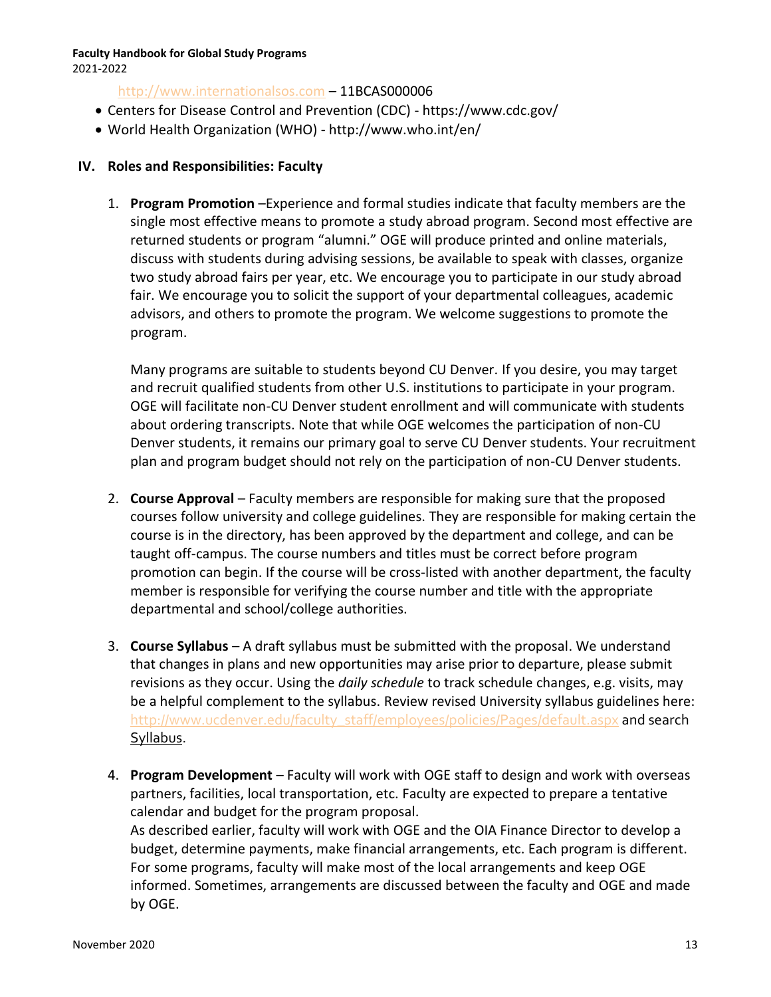2021-2022

#### [http://www.internationalsos.com](http://www.internationalsos.com/) – 11BCAS000006

- Centers for Disease Control and Prevention (CDC) https://www.cdc.gov/
- World Health Organization (WHO) http://www.who.int/en/

#### **IV. Roles and Responsibilities: Faculty**

1. **Program Promotion** –Experience and formal studies indicate that faculty members are the single most effective means to promote a study abroad program. Second most effective are returned students or program "alumni." OGE will produce printed and online materials, discuss with students during advising sessions, be available to speak with classes, organize two study abroad fairs per year, etc. We encourage you to participate in our study abroad fair. We encourage you to solicit the support of your departmental colleagues, academic advisors, and others to promote the program. We welcome suggestions to promote the program.

Many programs are suitable to students beyond CU Denver. If you desire, you may target and recruit qualified students from other U.S. institutions to participate in your program. OGE will facilitate non-CU Denver student enrollment and will communicate with students about ordering transcripts. Note that while OGE welcomes the participation of non-CU Denver students, it remains our primary goal to serve CU Denver students. Your recruitment plan and program budget should not rely on the participation of non-CU Denver students.

- 2. **Course Approval**  Faculty members are responsible for making sure that the proposed courses follow university and college guidelines. They are responsible for making certain the course is in the directory, has been approved by the department and college, and can be taught off-campus. The course numbers and titles must be correct before program promotion can begin. If the course will be cross-listed with another department, the faculty member is responsible for verifying the course number and title with the appropriate departmental and school/college authorities.
- 3. **Course Syllabus** A draft syllabus must be submitted with the proposal. We understand that changes in plans and new opportunities may arise prior to departure, please submit revisions as they occur. Using the *daily schedule* to track schedule changes, e.g. visits, may be a helpful complement to the syllabus. Review revised University syllabus guidelines here: [http://www.ucdenver.edu/faculty\\_staff/employees/policies/Pages/default.aspx](http://www.ucdenver.edu/faculty_staff/employees/policies/Pages/default.aspx) and search Syllabus.
- 4. **Program Development** Faculty will work with OGE staff to design and work with overseas partners, facilities, local transportation, etc. Faculty are expected to prepare a tentative calendar and budget for the program proposal. As described earlier, faculty will work with OGE and the OIA Finance Director to develop a budget, determine payments, make financial arrangements, etc. Each program is different. For some programs, faculty will make most of the local arrangements and keep OGE informed. Sometimes, arrangements are discussed between the faculty and OGE and made by OGE.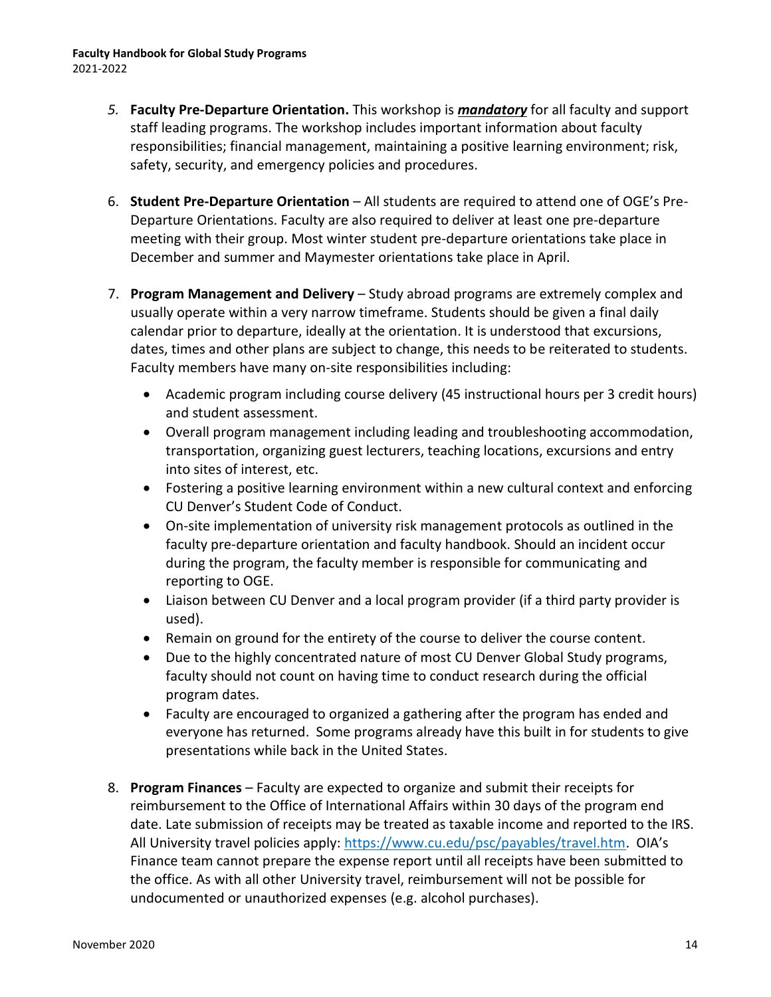- *5.* **Faculty Pre-Departure Orientation.** This workshop is *mandatory* for all faculty and support staff leading programs. The workshop includes important information about faculty responsibilities; financial management, maintaining a positive learning environment; risk, safety, security, and emergency policies and procedures.
- 6. **Student Pre-Departure Orientation** All students are required to attend one of OGE's Pre-Departure Orientations. Faculty are also required to deliver at least one pre-departure meeting with their group. Most winter student pre-departure orientations take place in December and summer and Maymester orientations take place in April.
- 7. **Program Management and Delivery**  Study abroad programs are extremely complex and usually operate within a very narrow timeframe. Students should be given a final daily calendar prior to departure, ideally at the orientation. It is understood that excursions, dates, times and other plans are subject to change, this needs to be reiterated to students. Faculty members have many on-site responsibilities including:
	- Academic program including course delivery (45 instructional hours per 3 credit hours) and student assessment.
	- Overall program management including leading and troubleshooting accommodation, transportation, organizing guest lecturers, teaching locations, excursions and entry into sites of interest, etc.
	- Fostering a positive learning environment within a new cultural context and enforcing CU Denver's Student Code of Conduct.
	- On-site implementation of university risk management protocols as outlined in the faculty pre-departure orientation and faculty handbook. Should an incident occur during the program, the faculty member is responsible for communicating and reporting to OGE.
	- Liaison between CU Denver and a local program provider (if a third party provider is used).
	- Remain on ground for the entirety of the course to deliver the course content.
	- Due to the highly concentrated nature of most CU Denver Global Study programs, faculty should not count on having time to conduct research during the official program dates.
	- Faculty are encouraged to organized a gathering after the program has ended and everyone has returned. Some programs already have this built in for students to give presentations while back in the United States.
- 8. **Program Finances**  Faculty are expected to organize and submit their receipts for reimbursement to the Office of International Affairs within 30 days of the program end date. Late submission of receipts may be treated as taxable income and reported to the IRS. All University travel policies apply: [https://www.cu.edu/psc/payables/travel.htm.](https://www.cu.edu/psc/payables/travel.htm) OIA's Finance team cannot prepare the expense report until all receipts have been submitted to the office. As with all other University travel, reimbursement will not be possible for undocumented or unauthorized expenses (e.g. alcohol purchases).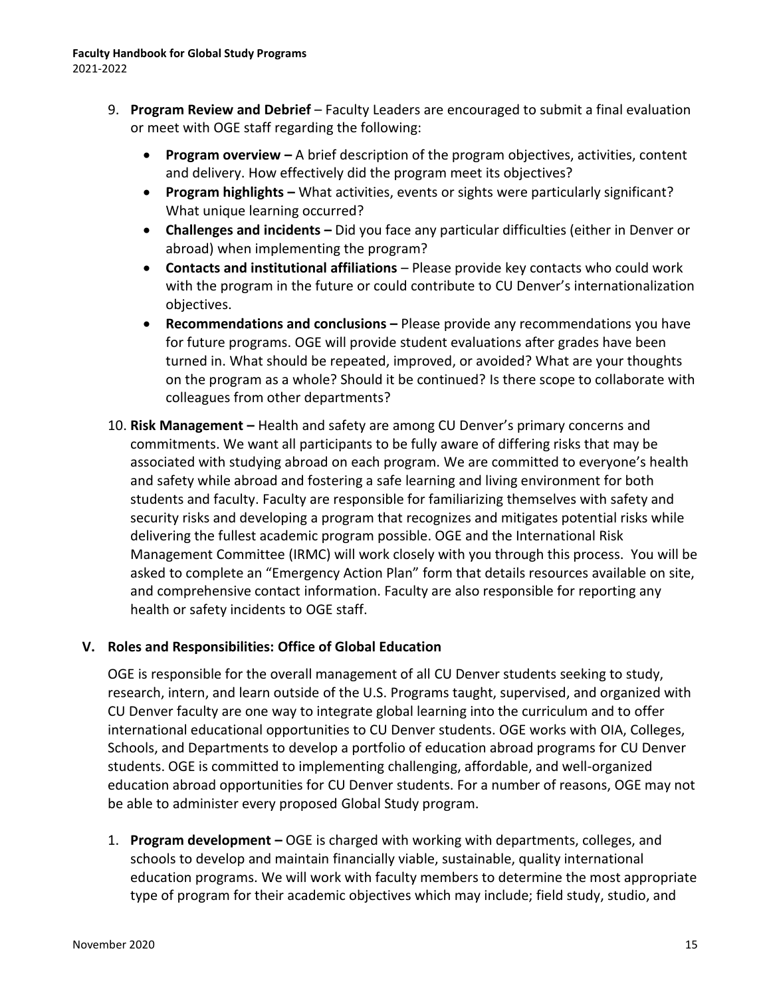- 9. **Program Review and Debrief** Faculty Leaders are encouraged to submit a final evaluation or meet with OGE staff regarding the following:
	- **Program overview –** A brief description of the program objectives, activities, content and delivery. How effectively did the program meet its objectives?
	- **Program highlights –** What activities, events or sights were particularly significant? What unique learning occurred?
	- **Challenges and incidents –** Did you face any particular difficulties (either in Denver or abroad) when implementing the program?
	- **Contacts and institutional affiliations**  Please provide key contacts who could work with the program in the future or could contribute to CU Denver's internationalization objectives.
	- **Recommendations and conclusions –** Please provide any recommendations you have for future programs. OGE will provide student evaluations after grades have been turned in. What should be repeated, improved, or avoided? What are your thoughts on the program as a whole? Should it be continued? Is there scope to collaborate with colleagues from other departments?
- 10. **Risk Management –** Health and safety are among CU Denver's primary concerns and commitments. We want all participants to be fully aware of differing risks that may be associated with studying abroad on each program. We are committed to everyone's health and safety while abroad and fostering a safe learning and living environment for both students and faculty. Faculty are responsible for familiarizing themselves with safety and security risks and developing a program that recognizes and mitigates potential risks while delivering the fullest academic program possible. OGE and the International Risk Management Committee (IRMC) will work closely with you through this process. You will be asked to complete an "Emergency Action Plan" form that details resources available on site, and comprehensive contact information. Faculty are also responsible for reporting any health or safety incidents to OGE staff.

### **V. Roles and Responsibilities: Office of Global Education**

OGE is responsible for the overall management of all CU Denver students seeking to study, research, intern, and learn outside of the U.S. Programs taught, supervised, and organized with CU Denver faculty are one way to integrate global learning into the curriculum and to offer international educational opportunities to CU Denver students. OGE works with OIA, Colleges, Schools, and Departments to develop a portfolio of education abroad programs for CU Denver students. OGE is committed to implementing challenging, affordable, and well-organized education abroad opportunities for CU Denver students. For a number of reasons, OGE may not be able to administer every proposed Global Study program.

1. **Program development –** OGE is charged with working with departments, colleges, and schools to develop and maintain financially viable, sustainable, quality international education programs. We will work with faculty members to determine the most appropriate type of program for their academic objectives which may include; field study, studio, and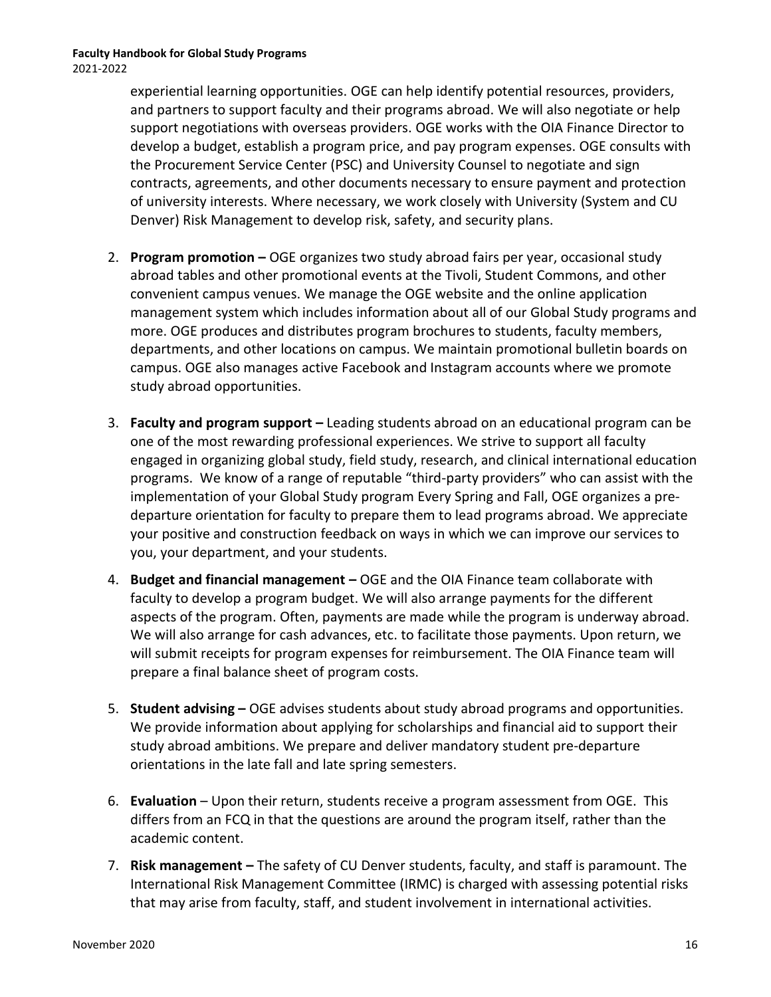experiential learning opportunities. OGE can help identify potential resources, providers, and partners to support faculty and their programs abroad. We will also negotiate or help support negotiations with overseas providers. OGE works with the OIA Finance Director to develop a budget, establish a program price, and pay program expenses. OGE consults with the Procurement Service Center (PSC) and University Counsel to negotiate and sign contracts, agreements, and other documents necessary to ensure payment and protection of university interests. Where necessary, we work closely with University (System and CU Denver) Risk Management to develop risk, safety, and security plans.

- 2. **Program promotion –** OGE organizes two study abroad fairs per year, occasional study abroad tables and other promotional events at the Tivoli, Student Commons, and other convenient campus venues. We manage the OGE website and the online application management system which includes information about all of our Global Study programs and more. OGE produces and distributes program brochures to students, faculty members, departments, and other locations on campus. We maintain promotional bulletin boards on campus. OGE also manages active Facebook and Instagram accounts where we promote study abroad opportunities.
- 3. **Faculty and program support –** Leading students abroad on an educational program can be one of the most rewarding professional experiences. We strive to support all faculty engaged in organizing global study, field study, research, and clinical international education programs. We know of a range of reputable "third-party providers" who can assist with the implementation of your Global Study program Every Spring and Fall, OGE organizes a predeparture orientation for faculty to prepare them to lead programs abroad. We appreciate your positive and construction feedback on ways in which we can improve our services to you, your department, and your students.
- 4. **Budget and financial management –** OGE and the OIA Finance team collaborate with faculty to develop a program budget. We will also arrange payments for the different aspects of the program. Often, payments are made while the program is underway abroad. We will also arrange for cash advances, etc. to facilitate those payments. Upon return, we will submit receipts for program expenses for reimbursement. The OIA Finance team will prepare a final balance sheet of program costs.
- 5. **Student advising –** OGE advises students about study abroad programs and opportunities. We provide information about applying for scholarships and financial aid to support their study abroad ambitions. We prepare and deliver mandatory student pre-departure orientations in the late fall and late spring semesters.
- 6. **Evaluation** Upon their return, students receive a program assessment from OGE. This differs from an FCQ in that the questions are around the program itself, rather than the academic content.
- 7. **Risk management –** The safety of CU Denver students, faculty, and staff is paramount. The International Risk Management Committee (IRMC) is charged with assessing potential risks that may arise from faculty, staff, and student involvement in international activities.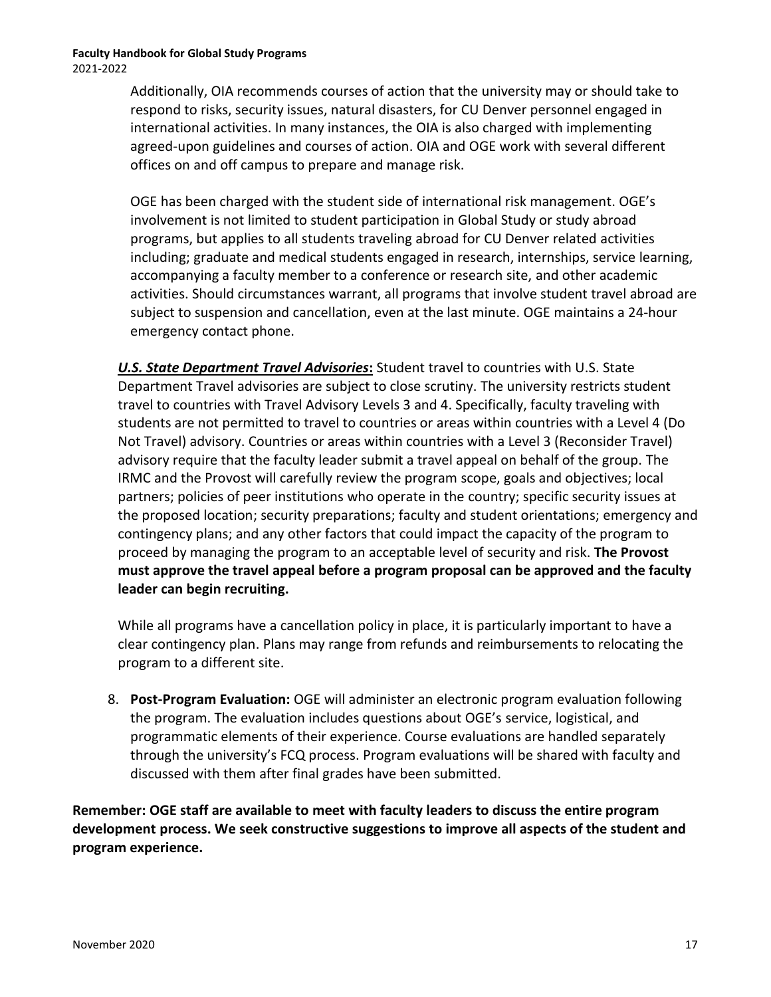Additionally, OIA recommends courses of action that the university may or should take to respond to risks, security issues, natural disasters, for CU Denver personnel engaged in international activities. In many instances, the OIA is also charged with implementing agreed-upon guidelines and courses of action. OIA and OGE work with several different offices on and off campus to prepare and manage risk.

OGE has been charged with the student side of international risk management. OGE's involvement is not limited to student participation in Global Study or study abroad programs, but applies to all students traveling abroad for CU Denver related activities including; graduate and medical students engaged in research, internships, service learning, accompanying a faculty member to a conference or research site, and other academic activities. Should circumstances warrant, all programs that involve student travel abroad are subject to suspension and cancellation, even at the last minute. OGE maintains a 24-hour emergency contact phone.

*U.S. State Department Travel Advisories***:** Student travel to countries with U.S. State Department Travel advisories are subject to close scrutiny. The university restricts student travel to countries with Travel Advisory Levels 3 and 4. Specifically, faculty traveling with students are not permitted to travel to countries or areas within countries with a Level 4 (Do Not Travel) advisory. Countries or areas within countries with a Level 3 (Reconsider Travel) advisory require that the faculty leader submit a travel appeal on behalf of the group. The IRMC and the Provost will carefully review the program scope, goals and objectives; local partners; policies of peer institutions who operate in the country; specific security issues at the proposed location; security preparations; faculty and student orientations; emergency and contingency plans; and any other factors that could impact the capacity of the program to proceed by managing the program to an acceptable level of security and risk. **The Provost must approve the travel appeal before a program proposal can be approved and the faculty leader can begin recruiting.**

While all programs have a cancellation policy in place, it is particularly important to have a clear contingency plan. Plans may range from refunds and reimbursements to relocating the program to a different site.

8. **Post-Program Evaluation:** OGE will administer an electronic program evaluation following the program. The evaluation includes questions about OGE's service, logistical, and programmatic elements of their experience. Course evaluations are handled separately through the university's FCQ process. Program evaluations will be shared with faculty and discussed with them after final grades have been submitted.

**Remember: OGE staff are available to meet with faculty leaders to discuss the entire program development process. We seek constructive suggestions to improve all aspects of the student and program experience.**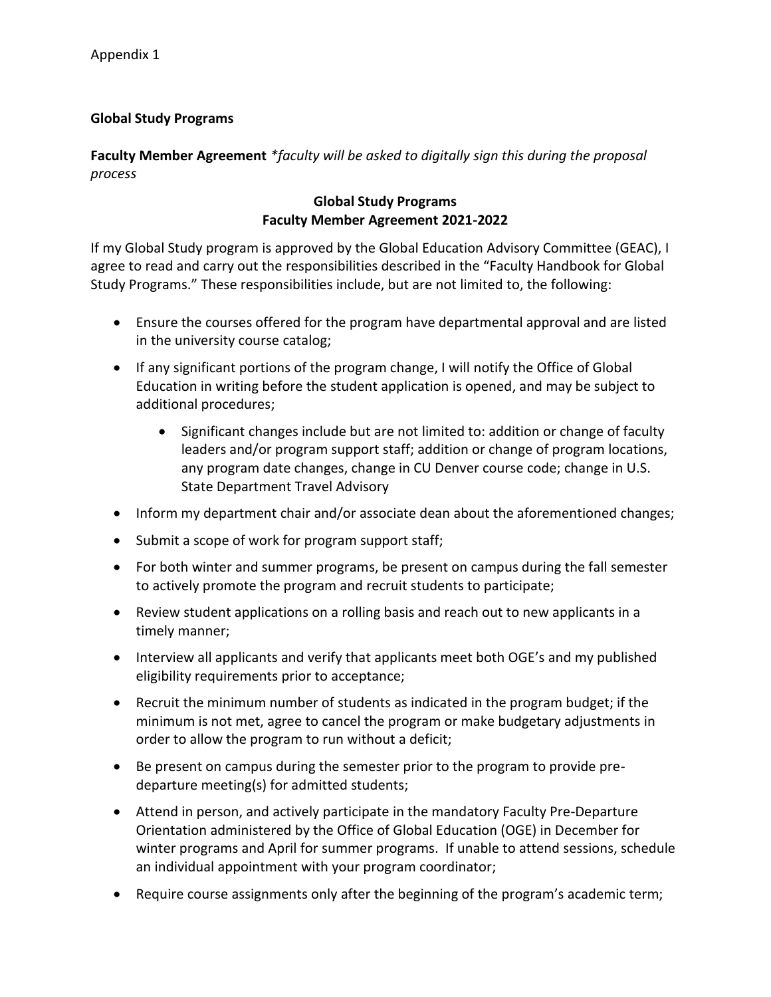### **Global Study Programs**

**Faculty Member Agreement** *\*faculty will be asked to digitally sign this during the proposal process*

#### **Global Study Programs Faculty Member Agreement 2021-2022**

If my Global Study program is approved by the Global Education Advisory Committee (GEAC), I agree to read and carry out the responsibilities described in the "Faculty Handbook for Global Study Programs." These responsibilities include, but are not limited to, the following:

- Ensure the courses offered for the program have departmental approval and are listed in the university course catalog;
- If any significant portions of the program change, I will notify the Office of Global Education in writing before the student application is opened, and may be subject to additional procedures;
	- Significant changes include but are not limited to: addition or change of faculty leaders and/or program support staff; addition or change of program locations, any program date changes, change in CU Denver course code; change in U.S. State Department Travel Advisory
- Inform my department chair and/or associate dean about the aforementioned changes;
- Submit a scope of work for program support staff;
- For both winter and summer programs, be present on campus during the fall semester to actively promote the program and recruit students to participate;
- Review student applications on a rolling basis and reach out to new applicants in a timely manner;
- Interview all applicants and verify that applicants meet both OGE's and my published eligibility requirements prior to acceptance;
- Recruit the minimum number of students as indicated in the program budget; if the minimum is not met, agree to cancel the program or make budgetary adjustments in order to allow the program to run without a deficit;
- Be present on campus during the semester prior to the program to provide predeparture meeting(s) for admitted students;
- Attend in person, and actively participate in the mandatory Faculty Pre-Departure Orientation administered by the Office of Global Education (OGE) in December for winter programs and April for summer programs. If unable to attend sessions, schedule an individual appointment with your program coordinator;
- Require course assignments only after the beginning of the program's academic term;